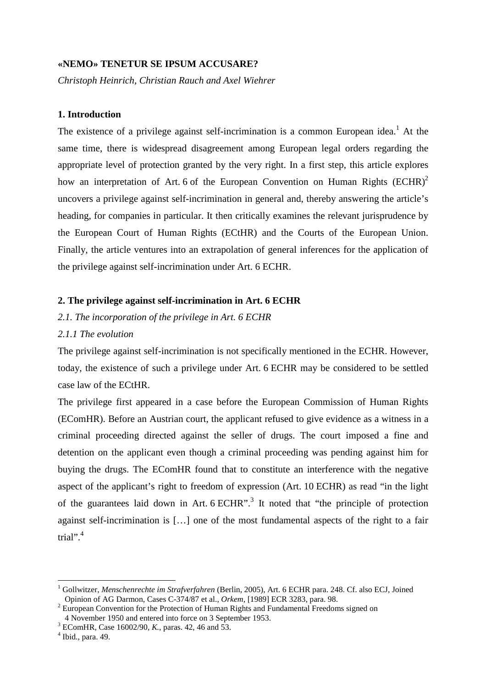# **«NEMO» TENETUR SE IPSUM ACCUSARE?**

*Christoph Heinrich, Christian Rauch and Axel Wiehrer* 

# **1. Introduction**

The existence of a privilege against self-incrimination is a common European idea.<sup>1</sup> At the same time, there is widespread disagreement among European legal orders regarding the appropriate level of protection granted by the very right. In a first step, this article explores how an interpretation of Art. 6 of the European Convention on Human Rights  $(ECHR)^2$ uncovers a privilege against self-incrimination in general and, thereby answering the article's heading, for companies in particular. It then critically examines the relevant jurisprudence by the European Court of Human Rights (ECtHR) and the Courts of the European Union. Finally, the article ventures into an extrapolation of general inferences for the application of the privilege against self-incrimination under Art. 6 ECHR.

# **2. The privilege against self-incrimination in Art. 6 ECHR**

*2.1. The incorporation of the privilege in Art. 6 ECHR* 

# *2.1.1 The evolution*

The privilege against self-incrimination is not specifically mentioned in the ECHR. However, today, the existence of such a privilege under Art. 6 ECHR may be considered to be settled case law of the ECtHR.

The privilege first appeared in a case before the European Commission of Human Rights (EComHR). Before an Austrian court, the applicant refused to give evidence as a witness in a criminal proceeding directed against the seller of drugs. The court imposed a fine and detention on the applicant even though a criminal proceeding was pending against him for buying the drugs. The EComHR found that to constitute an interference with the negative aspect of the applicant's right to freedom of expression (Art. 10 ECHR) as read "in the light of the guarantees laid down in Art.  $6$  ECHR".<sup>3</sup> It noted that "the principle of protection against self-incrimination is […] one of the most fundamental aspects of the right to a fair trial". $4$ 

<sup>&</sup>lt;sup>1</sup> Gollwitzer, Menschenrechte im Strafverfahren (Berlin, 2005), Art. 6 ECHR para. 248. Cf. also ECJ, Joined Opinion of AG Darmon, Cases C-374/87 et al., *Orkem,* [1989] ECR 3283, para. 98.

 $2$  European Convention for the Protection of Human Rights and Fundamental Freedoms signed on 4 November 1950 and entered into force on 3 September 1953.

<sup>3</sup> EComHR, Case 16002/90, *K.*, paras. 42, 46 and 53.

<sup>4</sup> Ibid., para. 49.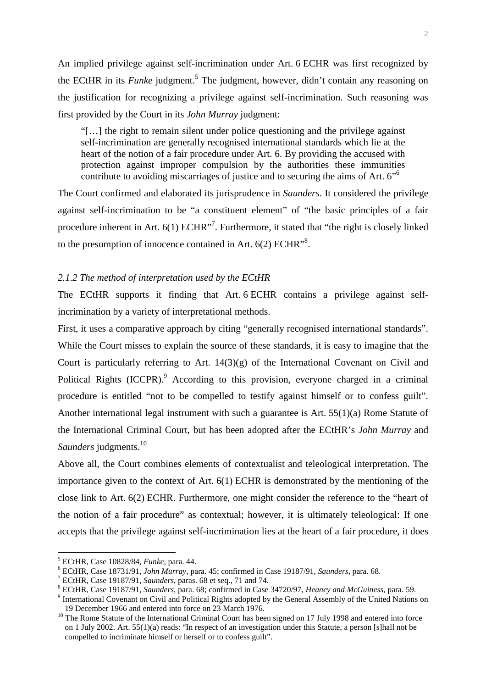An implied privilege against self-incrimination under Art. 6 ECHR was first recognized by the ECtHR in its *Funke* judgment.<sup>5</sup> The judgment, however, didn't contain any reasoning on the justification for recognizing a privilege against self-incrimination. Such reasoning was first provided by the Court in its *John Murray* judgment:

"[…] the right to remain silent under police questioning and the privilege against self-incrimination are generally recognised international standards which lie at the heart of the notion of a fair procedure under Art. 6. By providing the accused with protection against improper compulsion by the authorities these immunities contribute to avoiding miscarriages of justice and to securing the aims of Art. 6<sup>"6</sup>

The Court confirmed and elaborated its jurisprudence in *Saunders*. It considered the privilege against self-incrimination to be "a constituent element" of "the basic principles of a fair procedure inherent in Art.  $6(1)$  ECHR"<sup>7</sup>. Furthermore, it stated that "the right is closely linked to the presumption of innocence contained in Art.  $6(2)$  ECHR<sup>38</sup>.

# *2.1.2 The method of interpretation used by the ECtHR*

The ECtHR supports it finding that Art. 6 ECHR contains a privilege against selfincrimination by a variety of interpretational methods.

First, it uses a comparative approach by citing "generally recognised international standards". While the Court misses to explain the source of these standards, it is easy to imagine that the Court is particularly referring to Art. 14(3)(g) of the International Covenant on Civil and Political Rights (ICCPR).<sup>9</sup> According to this provision, everyone charged in a criminal procedure is entitled "not to be compelled to testify against himself or to confess guilt". Another international legal instrument with such a guarantee is Art. 55(1)(a) Rome Statute of the International Criminal Court, but has been adopted after the ECtHR's *John Murray* and *Saunders* judgments.<sup>10</sup>

Above all, the Court combines elements of contextualist and teleological interpretation. The importance given to the context of Art. 6(1) ECHR is demonstrated by the mentioning of the close link to Art. 6(2) ECHR. Furthermore, one might consider the reference to the "heart of the notion of a fair procedure" as contextual; however, it is ultimately teleological: If one accepts that the privilege against self-incrimination lies at the heart of a fair procedure, it does

<sup>5</sup> ECtHR, Case 10828/84, *Funke*, para. 44.

<sup>6</sup> ECtHR, Case 18731/91, *John Murray*, para. 45; confirmed in Case 19187/91, *Saunders*, para. 68.

<sup>7</sup> ECtHR, Case 19187/91, *Saunders*, paras. 68 et seq., 71 and 74.

<sup>8</sup> ECtHR, Case 19187/91, *Saunders*, para. 68; confirmed in Case 34720/97, *Heaney and McGuiness*, para. 59.

<sup>&</sup>lt;sup>9</sup> International Covenant on Civil and Political Rights adopted by the General Assembly of the United Nations on 19 December 1966 and entered into force on 23 March 1976.

<sup>&</sup>lt;sup>10</sup> The Rome Statute of the International Criminal Court has been signed on 17 July 1998 and entered into force on 1 July 2002. Art. 55(1)(a) reads: "In respect of an investigation under this Statute, a person [s]hall not be compelled to incriminate himself or herself or to confess guilt".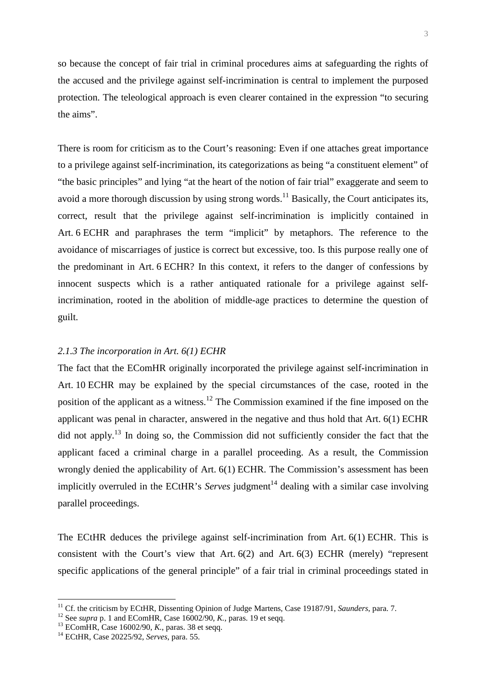so because the concept of fair trial in criminal procedures aims at safeguarding the rights of the accused and the privilege against self-incrimination is central to implement the purposed protection. The teleological approach is even clearer contained in the expression "to securing the aims".

There is room for criticism as to the Court's reasoning: Even if one attaches great importance to a privilege against self-incrimination, its categorizations as being "a constituent element" of "the basic principles" and lying "at the heart of the notion of fair trial" exaggerate and seem to avoid a more thorough discussion by using strong words.<sup>11</sup> Basically, the Court anticipates its, correct, result that the privilege against self-incrimination is implicitly contained in Art. 6 ECHR and paraphrases the term "implicit" by metaphors. The reference to the avoidance of miscarriages of justice is correct but excessive, too. Is this purpose really one of the predominant in Art. 6 ECHR? In this context, it refers to the danger of confessions by innocent suspects which is a rather antiquated rationale for a privilege against selfincrimination, rooted in the abolition of middle-age practices to determine the question of guilt.

# *2.1.3 The incorporation in Art. 6(1) ECHR*

The fact that the EComHR originally incorporated the privilege against self-incrimination in Art. 10 ECHR may be explained by the special circumstances of the case, rooted in the position of the applicant as a witness.<sup>12</sup> The Commission examined if the fine imposed on the applicant was penal in character, answered in the negative and thus hold that Art. 6(1) ECHR did not apply.<sup>13</sup> In doing so, the Commission did not sufficiently consider the fact that the applicant faced a criminal charge in a parallel proceeding. As a result, the Commission wrongly denied the applicability of Art. 6(1) ECHR. The Commission's assessment has been implicitly overruled in the ECtHR's *Serves* judgment<sup>14</sup> dealing with a similar case involving parallel proceedings.

The ECtHR deduces the privilege against self-incrimination from Art. 6(1) ECHR. This is consistent with the Court's view that Art. 6(2) and Art. 6(3) ECHR (merely) "represent specific applications of the general principle" of a fair trial in criminal proceedings stated in

<sup>&</sup>lt;sup>11</sup> Cf. the criticism by ECtHR, Dissenting Opinion of Judge Martens, Case 19187/91, *Saunders*, para. 7.

<sup>&</sup>lt;sup>12</sup> See *supra* p. 1 and EComHR, Case 16002/90, *K.*, paras. 19 et seqq.

<sup>13</sup> EComHR, Case 16002/90, *K.*, paras. 38 et seqq.

<sup>14</sup> ECtHR, Case 20225/92, *Serves*, para. 55.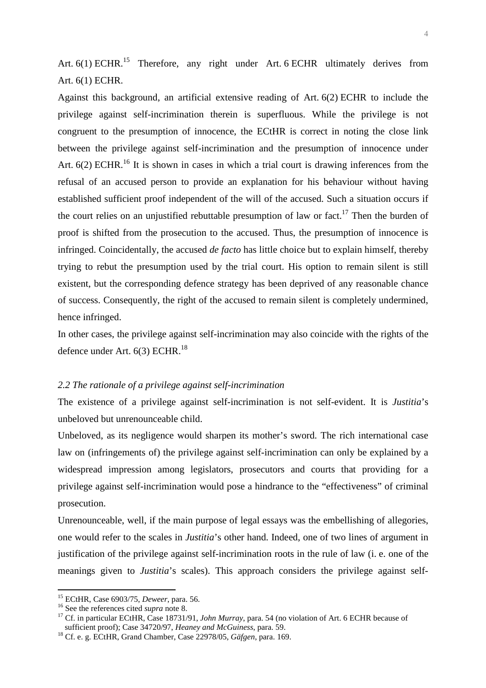Art.  $6(1)$  ECHR.<sup>15</sup> Therefore, any right under Art. 6 ECHR ultimately derives from Art. 6(1) ECHR.

Against this background, an artificial extensive reading of Art. 6(2) ECHR to include the privilege against self-incrimination therein is superfluous. While the privilege is not congruent to the presumption of innocence, the ECtHR is correct in noting the close link between the privilege against self-incrimination and the presumption of innocence under Art.  $6(2)$  ECHR.<sup>16</sup> It is shown in cases in which a trial court is drawing inferences from the refusal of an accused person to provide an explanation for his behaviour without having established sufficient proof independent of the will of the accused. Such a situation occurs if the court relies on an unjustified rebuttable presumption of law or fact.<sup>17</sup> Then the burden of proof is shifted from the prosecution to the accused. Thus, the presumption of innocence is infringed. Coincidentally, the accused *de facto* has little choice but to explain himself, thereby trying to rebut the presumption used by the trial court. His option to remain silent is still existent, but the corresponding defence strategy has been deprived of any reasonable chance of success. Consequently, the right of the accused to remain silent is completely undermined, hence infringed.

In other cases, the privilege against self-incrimination may also coincide with the rights of the defence under Art.  $6(3)$  ECHR.<sup>18</sup>

# *2.2 The rationale of a privilege against self-incrimination*

The existence of a privilege against self-incrimination is not self-evident. It is *Justitia*'s unbeloved but unrenounceable child.

Unbeloved, as its negligence would sharpen its mother's sword. The rich international case law on (infringements of) the privilege against self-incrimination can only be explained by a widespread impression among legislators, prosecutors and courts that providing for a privilege against self-incrimination would pose a hindrance to the "effectiveness" of criminal prosecution.

Unrenounceable, well, if the main purpose of legal essays was the embellishing of allegories, one would refer to the scales in *Justitia*'s other hand. Indeed, one of two lines of argument in justification of the privilege against self-incrimination roots in the rule of law (i. e. one of the meanings given to *Justitia*'s scales). This approach considers the privilege against self-

<sup>15</sup> ECtHR, Case 6903/75, *Deweer*, para. 56.

<sup>16</sup> See the references cited *supra* note 8.

<sup>17</sup> Cf. in particular ECtHR, Case 18731/91, *John Murray*, para. 54 (no violation of Art. 6 ECHR because of sufficient proof); Case 34720/97, *Heaney and McGuiness*, para. 59.

<sup>18</sup> Cf. e. g. ECtHR, Grand Chamber, Case 22978/05, *Gäfgen*, para. 169.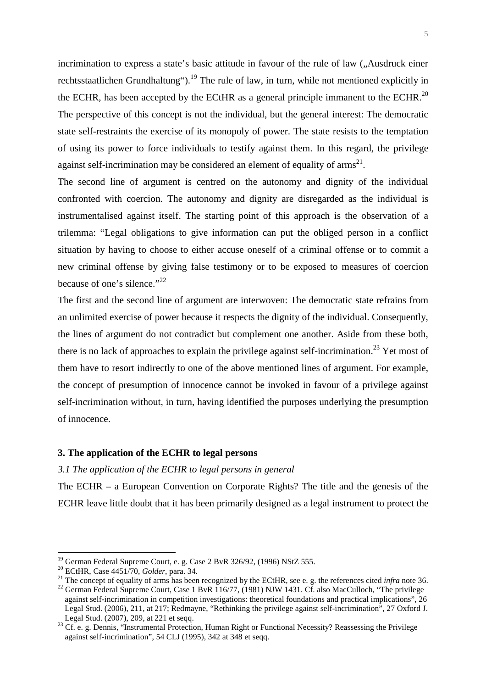incrimination to express a state's basic attitude in favour of the rule of law ("Ausdruck einer rechtsstaatlichen Grundhaltung").<sup>19</sup> The rule of law, in turn, while not mentioned explicitly in the ECHR, has been accepted by the ECtHR as a general principle immanent to the ECHR.<sup>20</sup> The perspective of this concept is not the individual, but the general interest: The democratic state self-restraints the exercise of its monopoly of power. The state resists to the temptation of using its power to force individuals to testify against them. In this regard, the privilege against self-incrimination may be considered an element of equality of  $\text{arms}^{21}$ .

The second line of argument is centred on the autonomy and dignity of the individual confronted with coercion. The autonomy and dignity are disregarded as the individual is instrumentalised against itself. The starting point of this approach is the observation of a trilemma: "Legal obligations to give information can put the obliged person in a conflict situation by having to choose to either accuse oneself of a criminal offense or to commit a new criminal offense by giving false testimony or to be exposed to measures of coercion because of one's silence."<sup>22</sup>

The first and the second line of argument are interwoven: The democratic state refrains from an unlimited exercise of power because it respects the dignity of the individual. Consequently, the lines of argument do not contradict but complement one another. Aside from these both, there is no lack of approaches to explain the privilege against self-incrimination.<sup>23</sup> Yet most of them have to resort indirectly to one of the above mentioned lines of argument. For example, the concept of presumption of innocence cannot be invoked in favour of a privilege against self-incrimination without, in turn, having identified the purposes underlying the presumption of innocence.

# **3. The application of the ECHR to legal persons**

#### *3.1 The application of the ECHR to legal persons in general*

The ECHR – a European Convention on Corporate Rights? The title and the genesis of the ECHR leave little doubt that it has been primarily designed as a legal instrument to protect the

 $19$  German Federal Supreme Court, e. g. Case 2 BvR 326/92, (1996) NStZ 555.

<sup>20</sup> ECtHR, Case 4451/70, *Golder*, para. 34.

<sup>&</sup>lt;sup>21</sup> The concept of equality of arms has been recognized by the ECtHR, see e. g. the references cited *infra* note 36.

<sup>&</sup>lt;sup>22</sup> German Federal Supreme Court, Case 1 BvR 116/77, (1981) NJW 1431. Cf. also MacCulloch, "The privilege against self-incrimination in competition investigations: theoretical foundations and practical implications", 26 Legal Stud. (2006), 211, at 217; Redmayne, "Rethinking the privilege against self-incrimination", 27 Oxford J. Legal Stud. (2007), 209, at 221 et seqq.

<sup>&</sup>lt;sup>23</sup> Cf. e. g. Dennis, "Instrumental Protection, Human Right or Functional Necessity? Reassessing the Privilege against self-incrimination", 54 CLJ (1995), 342 at 348 et seqq.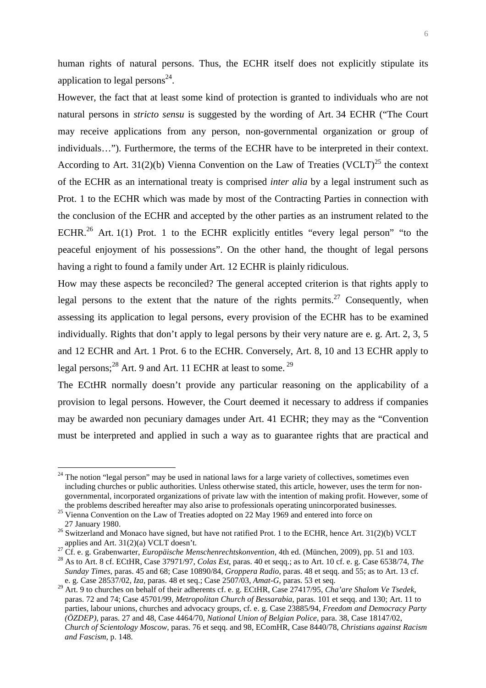human rights of natural persons. Thus, the ECHR itself does not explicitly stipulate its application to legal persons $^{24}$ .

However, the fact that at least some kind of protection is granted to individuals who are not natural persons in *stricto sensu* is suggested by the wording of Art. 34 ECHR ("The Court may receive applications from any person, non-governmental organization or group of individuals…"). Furthermore, the terms of the ECHR have to be interpreted in their context. According to Art. 31(2)(b) Vienna Convention on the Law of Treaties (VCLT)<sup>25</sup> the context of the ECHR as an international treaty is comprised *inter alia* by a legal instrument such as Prot. 1 to the ECHR which was made by most of the Contracting Parties in connection with the conclusion of the ECHR and accepted by the other parties as an instrument related to the ECHR.<sup>26</sup> Art. 1(1) Prot. 1 to the ECHR explicitly entitles "every legal person" "to the peaceful enjoyment of his possessions". On the other hand, the thought of legal persons having a right to found a family under Art. 12 ECHR is plainly ridiculous.

How may these aspects be reconciled? The general accepted criterion is that rights apply to legal persons to the extent that the nature of the rights permits.<sup>27</sup> Consequently, when assessing its application to legal persons, every provision of the ECHR has to be examined individually. Rights that don't apply to legal persons by their very nature are e. g. Art. 2, 3, 5 and 12 ECHR and Art. 1 Prot. 6 to the ECHR. Conversely, Art. 8, 10 and 13 ECHR apply to legal persons; $^{28}$  Art. 9 and Art. 11 ECHR at least to some.  $^{29}$ 

The ECtHR normally doesn't provide any particular reasoning on the applicability of a provision to legal persons. However, the Court deemed it necessary to address if companies may be awarded non pecuniary damages under Art. 41 ECHR; they may as the "Convention must be interpreted and applied in such a way as to guarantee rights that are practical and

<sup>&</sup>lt;sup>24</sup> The notion "legal person" may be used in national laws for a large variety of collectives, sometimes even including churches or public authorities. Unless otherwise stated, this article, however, uses the term for nongovernmental, incorporated organizations of private law with the intention of making profit. However, some of the problems described hereafter may also arise to professionals operating unincorporated businesses.

<sup>&</sup>lt;sup>25</sup> Vienna Convention on the Law of Treaties adopted on 22 May 1969 and entered into force on 27 January 1980.

<sup>&</sup>lt;sup>26</sup> Switzerland and Monaco have signed, but have not ratified Prot. 1 to the ECHR, hence Art. 31(2)(b) VCLT applies and Art. 31(2)(a) VCLT doesn't.

<sup>27</sup> Cf. e. g. Grabenwarter, *Europäische Menschenrechtskonvention*, 4th ed. (München, 2009), pp. 51 and 103.

<sup>28</sup> As to Art. 8 cf. ECtHR, Case 37971/97, *Colas Est,* paras. 40 et seqq.; as to Art. 10 cf. e. g. Case 6538/74, *The Sunday Times*, paras. 45 and 68; Case 10890/84, *Groppera Radio*, paras. 48 et seqq. and 55; as to Art. 13 cf. e. g. Case 28537/02, *Iza*, paras. 48 et seq.; Case 2507/03, *Amat-G*, paras. 53 et seq.

<sup>29</sup> Art. 9 to churches on behalf of their adherents cf. e. g. ECtHR, Case 27417/95, *Cha'are Shalom Ve Tsedek*, paras. 72 and 74; Case 45701/99, *Metropolitan Church of Bessarabia*, paras. 101 et seqq. and 130; Art. 11 to parties, labour unions, churches and advocacy groups, cf. e. g. Case 23885/94, *Freedom and Democracy Party (ÖZDEP)*, paras. 27 and 48, Case 4464/70, *National Union of Belgian Police*, para. 38, Case 18147/02, *Church of Scientology Moscow*, paras. 76 et seqq. and 98, EComHR, Case 8440/78, *Christians against Racism and Fascism*, p. 148.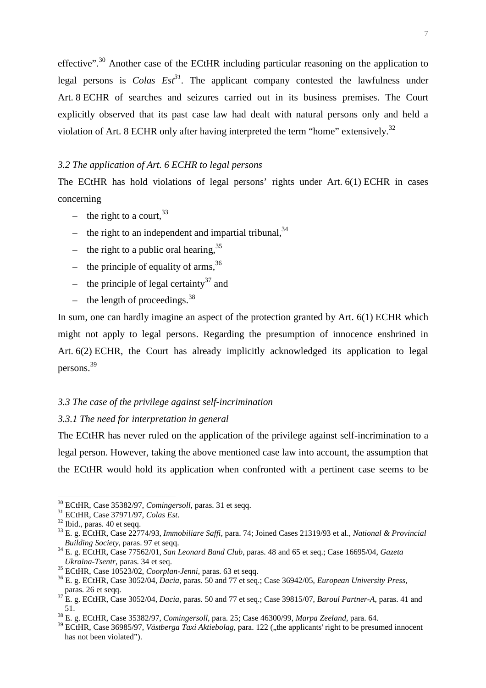effective".<sup>30</sup> Another case of the ECtHR including particular reasoning on the application to legal persons is *Colas Est<sup>31</sup>*. The applicant company contested the lawfulness under Art. 8 ECHR of searches and seizures carried out in its business premises. The Court explicitly observed that its past case law had dealt with natural persons only and held a violation of Art. 8 ECHR only after having interpreted the term "home" extensively.<sup>32</sup>

# *3.2 The application of Art. 6 ECHR to legal persons*

The ECtHR has hold violations of legal persons' rights under Art. 6(1) ECHR in cases concerning

- the right to a court,  $33$
- the right to an independent and impartial tribunal,  $34$
- the right to a public oral hearing,  $35$
- the principle of equality of arms,  $36$
- the principle of legal certainty<sup>37</sup> and
- the length of proceedings.  $38$

In sum, one can hardly imagine an aspect of the protection granted by Art. 6(1) ECHR which might not apply to legal persons. Regarding the presumption of innocence enshrined in Art. 6(2) ECHR, the Court has already implicitly acknowledged its application to legal persons. 39

# *3.3 The case of the privilege against self-incrimination*

# *3.3.1 The need for interpretation in general*

The ECtHR has never ruled on the application of the privilege against self-incrimination to a legal person. However, taking the above mentioned case law into account, the assumption that the ECtHR would hold its application when confronted with a pertinent case seems to be

<sup>30</sup> ECtHR, Case 35382/97, *Comingersoll*, paras. 31 et seqq.

<sup>31</sup> ECtHR, Case 37971/97, *Colas Est*.

<sup>32</sup> Ibid.*,* paras. 40 et seqq.

<sup>33</sup> E. g. ECtHR, Case 22774/93, *Immobiliare Saffi*, para. 74; Joined Cases 21319/93 et al., *National & Provincial Building Society*, paras. 97 et seqq.

<sup>34</sup> E. g. ECtHR, Case 77562/01*, San Leonard Band Club*, paras. 48 and 65 et seq.; Case 16695/04, *Gazeta Ukraina-Tsentr*, paras. 34 et seq.

<sup>35</sup> ECtHR, Case 10523/02, *Coorplan-Jenni*, paras. 63 et seqq.

<sup>36</sup> E. g. ECtHR, Case 3052/04, *Dacia*, paras. 50 and 77 et seq.; Case 36942/05, *European University Press*, paras. 26 et seqq.

<sup>37</sup> E. g. ECtHR, Case 3052/04, *Dacia*, paras. 50 and 77 et seq.; Case 39815/07, *Baroul Partner-A*, paras. 41 and 51.

<sup>38</sup> E. g. ECtHR, Case 35382/97, *Comingersoll*, para. 25; Case 46300/99, *Marpa Zeeland,* para. 64.

<sup>&</sup>lt;sup>39</sup> ECtHR, Case 36985/97, *Västberga Taxi Aktiebolag*, para. 122 ("the applicants' right to be presumed innocent has not been violated").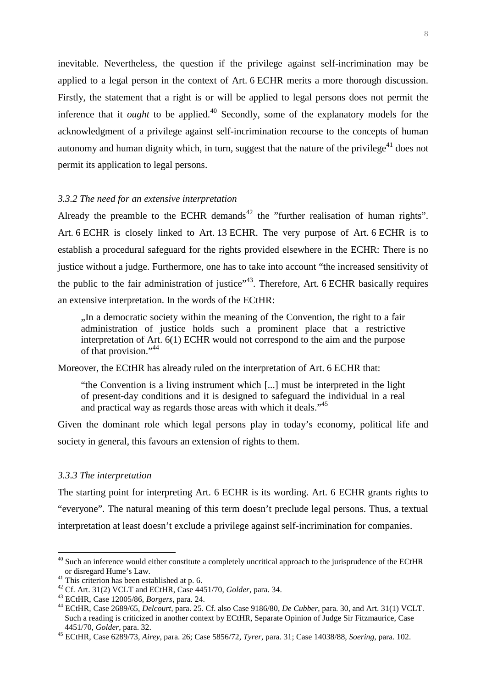inevitable. Nevertheless, the question if the privilege against self-incrimination may be applied to a legal person in the context of Art. 6 ECHR merits a more thorough discussion. Firstly, the statement that a right is or will be applied to legal persons does not permit the inference that it *ought* to be applied.<sup>40</sup> Secondly, some of the explanatory models for the acknowledgment of a privilege against self-incrimination recourse to the concepts of human autonomy and human dignity which, in turn, suggest that the nature of the privilege<sup>41</sup> does not permit its application to legal persons.

#### *3.3.2 The need for an extensive interpretation*

Already the preamble to the ECHR demands<sup>42</sup> the "further realisation of human rights". Art. 6 ECHR is closely linked to Art. 13 ECHR. The very purpose of Art. 6 ECHR is to establish a procedural safeguard for the rights provided elsewhere in the ECHR: There is no justice without a judge. Furthermore, one has to take into account "the increased sensitivity of the public to the fair administration of justice"<sup>43</sup>. Therefore, Art. 6 ECHR basically requires an extensive interpretation. In the words of the ECtHR:

"In a democratic society within the meaning of the Convention, the right to a fair administration of justice holds such a prominent place that a restrictive interpretation of Art. 6(1) ECHR would not correspond to the aim and the purpose of that provision."<sup>44</sup>

Moreover, the ECtHR has already ruled on the interpretation of Art. 6 ECHR that:

"the Convention is a living instrument which [...] must be interpreted in the light of present-day conditions and it is designed to safeguard the individual in a real and practical way as regards those areas with which it deals."<sup>45</sup>

Given the dominant role which legal persons play in today's economy, political life and society in general, this favours an extension of rights to them.

#### *3.3.3 The interpretation*

 $\overline{a}$ 

The starting point for interpreting Art. 6 ECHR is its wording. Art. 6 ECHR grants rights to "everyone". The natural meaning of this term doesn't preclude legal persons. Thus, a textual interpretation at least doesn't exclude a privilege against self-incrimination for companies.

 $40$  Such an inference would either constitute a completely uncritical approach to the jurisprudence of the ECtHR or disregard Hume's Law.

 $41$  This criterion has been established at p. 6.

<sup>42</sup> Cf. Art. 31(2) VCLT and ECtHR, Case 4451/70, *Golder*, para. 34.

<sup>43</sup> ECtHR, Case 12005/86, *Borgers*, para. 24.

<sup>44</sup> ECtHR, Case 2689/65, *Delcourt*, para. 25. Cf. also Case 9186/80, *De Cubber*, para. 30, and Art. 31(1) VCLT. Such a reading is criticized in another context by ECtHR, Separate Opinion of Judge Sir Fitzmaurice, Case 4451/70, *Golder*, para. 32.

<sup>45</sup> ECtHR, Case 6289/73, *Airey*, para. 26; Case 5856/72, *Tyrer*, para. 31; Case 14038/88, *Soering*, para. 102.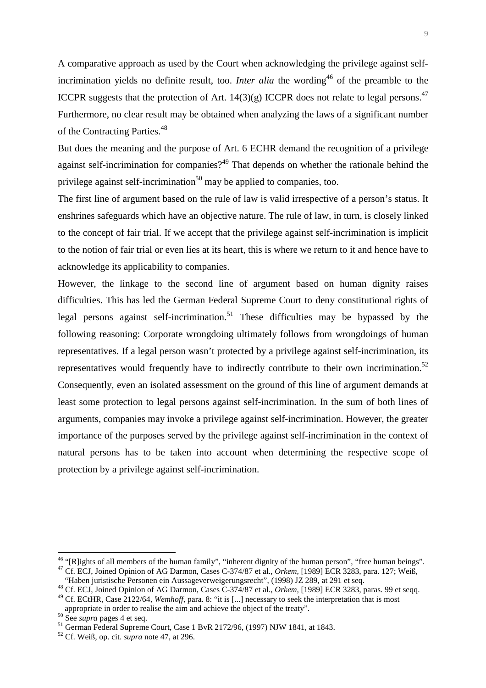A comparative approach as used by the Court when acknowledging the privilege against selfincrimination yields no definite result, too. *Inter alia* the wording<sup>46</sup> of the preamble to the ICCPR suggests that the protection of Art.  $14(3)(g)$  ICCPR does not relate to legal persons.<sup>47</sup> Furthermore, no clear result may be obtained when analyzing the laws of a significant number of the Contracting Parties.<sup>48</sup>

But does the meaning and the purpose of Art. 6 ECHR demand the recognition of a privilege against self-incrimination for companies?<sup>49</sup> That depends on whether the rationale behind the privilege against self-incrimination<sup>50</sup> may be applied to companies, too.

The first line of argument based on the rule of law is valid irrespective of a person's status. It enshrines safeguards which have an objective nature. The rule of law, in turn, is closely linked to the concept of fair trial. If we accept that the privilege against self-incrimination is implicit to the notion of fair trial or even lies at its heart, this is where we return to it and hence have to acknowledge its applicability to companies.

However, the linkage to the second line of argument based on human dignity raises difficulties. This has led the German Federal Supreme Court to deny constitutional rights of legal persons against self-incrimination.<sup>51</sup> These difficulties may be bypassed by the following reasoning: Corporate wrongdoing ultimately follows from wrongdoings of human representatives. If a legal person wasn't protected by a privilege against self-incrimination, its representatives would frequently have to indirectly contribute to their own incrimination. $52$ Consequently, even an isolated assessment on the ground of this line of argument demands at least some protection to legal persons against self-incrimination. In the sum of both lines of arguments, companies may invoke a privilege against self-incrimination. However, the greater importance of the purposes served by the privilege against self-incrimination in the context of natural persons has to be taken into account when determining the respective scope of protection by a privilege against self-incrimination.

<sup>&</sup>lt;sup>46</sup> "[R]ights of all members of the human family", "inherent dignity of the human person", "free human beings". <sup>47</sup> Cf. ECJ, Joined Opinion of AG Darmon, Cases C-374/87 et al., *Orkem,* [1989] ECR 3283, para. 127; Weiß,

<sup>&</sup>quot;Haben juristische Personen ein Aussageverweigerungsrecht", (1998) JZ 289, at 291 et seq.

<sup>48</sup> Cf. ECJ, Joined Opinion of AG Darmon, Cases C-374/87 et al., *Orkem,* [1989] ECR 3283, paras. 99 et seqq.

<sup>&</sup>lt;sup>49</sup> Cf. ECtHR, Case 2122/64, *Wemhoff*, para. 8: "it is [...] necessary to seek the interpretation that is most appropriate in order to realise the aim and achieve the object of the treaty".

<sup>50</sup> See *supra* pages 4 et seq.

<sup>51</sup> German Federal Supreme Court, Case 1 BvR 2172/96, (1997) NJW 1841, at 1843.

<sup>52</sup> Cf. Weiß, op. cit. *supra* note 47, at 296.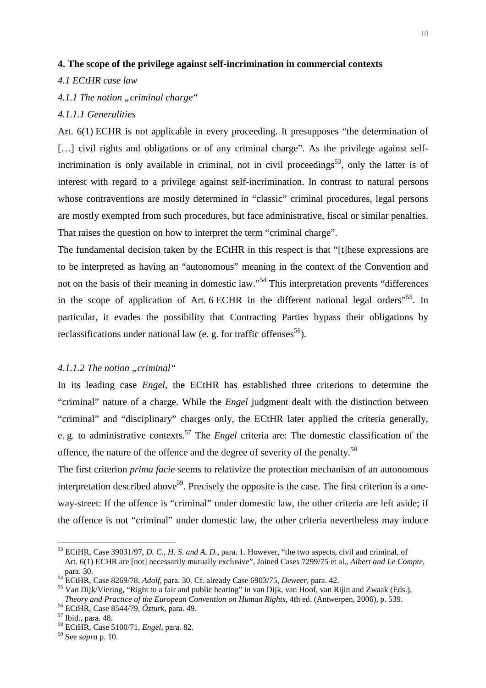# **4. The scope of the privilege against self-incrimination in commercial contexts**

#### *4.1 ECtHR case law*

*4.1.1 The notion "criminal charge"* 

# *4.1.1.1 Generalities*

Art. 6(1) ECHR is not applicable in every proceeding. It presupposes "the determination of [...] civil rights and obligations or of any criminal charge". As the privilege against selfincrimination is only available in criminal, not in civil proceedings<sup>53</sup>, only the latter is of interest with regard to a privilege against self-incrimination. In contrast to natural persons whose contraventions are mostly determined in "classic" criminal procedures, legal persons are mostly exempted from such procedures, but face administrative, fiscal or similar penalties. That raises the question on how to interpret the term "criminal charge".

The fundamental decision taken by the ECtHR in this respect is that "[t]hese expressions are to be interpreted as having an "autonomous" meaning in the context of the Convention and not on the basis of their meaning in domestic law."<sup>54</sup> This interpretation prevents "differences" in the scope of application of Art. 6 ECHR in the different national legal orders<sup>"55</sup>. In particular, it evades the possibility that Contracting Parties bypass their obligations by reclassifications under national law (e. g. for traffic offenses<sup>56</sup>).

# 4.1.1.2 The notion "criminal"

In its leading case *Engel*, the ECtHR has established three criterions to determine the "criminal" nature of a charge. While the *Engel* judgment dealt with the distinction between "criminal" and "disciplinary" charges only, the ECtHR later applied the criteria generally, e. g. to administrative contexts.<sup>57</sup> The *Engel* criteria are: The domestic classification of the offence, the nature of the offence and the degree of severity of the penalty.<sup>58</sup>

The first criterion *prima facie* seems to relativize the protection mechanism of an autonomous interpretation described above<sup>59</sup>. Precisely the opposite is the case. The first criterion is a oneway-street: If the offence is "criminal" under domestic law, the other criteria are left aside; if the offence is not "criminal" under domestic law, the other criteria nevertheless may induce

<sup>53</sup> ECtHR, Case 39031/97, *D. C., H. S. and A. D.*, para. 1. However, "the two aspects, civil and criminal, of Art. 6(1) ECHR are [not] necessarily mutually exclusive", Joined Cases 7299/75 et al., *Albert and Le Compte*, para. 30.

<sup>54</sup> ECtHR, Case 8269/78, *Adolf*, para. 30. Cf. already Case 6903/75, *Deweer*, para. 42.

<sup>55</sup> Van Dijk/Viering, "Right to a fair and public hearing" in van Dijk, van Hoof, van Rijin and Zwaak (Eds.), *Theory and Practice of the European Convention on Human Rights*, 4th ed. (Antwerpen, 2006), p. 539.

<sup>56</sup> ECtHR, Case 8544/79, *Özturk*, para. 49.

<sup>57</sup> Ibid., para. 48.

<sup>58</sup> ECtHR, Case 5100/71*, Engel*, para. 82.

<sup>59</sup> See *supra* p. 10.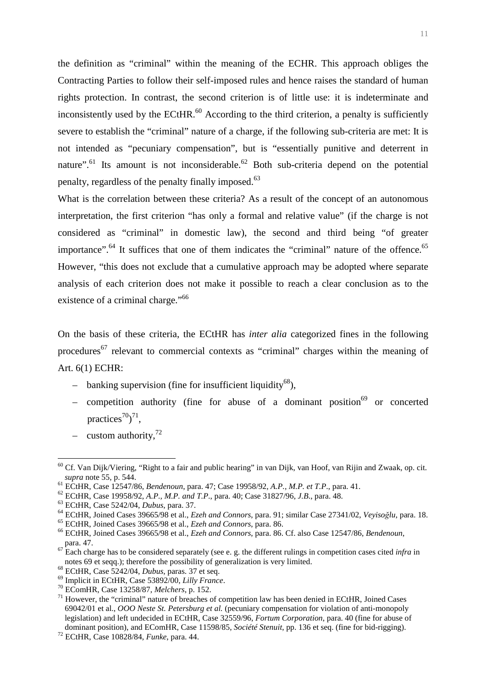the definition as "criminal" within the meaning of the ECHR. This approach obliges the Contracting Parties to follow their self-imposed rules and hence raises the standard of human rights protection. In contrast, the second criterion is of little use: it is indeterminate and inconsistently used by the ECtHR. $^{60}$  According to the third criterion, a penalty is sufficiently severe to establish the "criminal" nature of a charge, if the following sub-criteria are met: It is not intended as "pecuniary compensation", but is "essentially punitive and deterrent in nature".<sup>61</sup> Its amount is not inconsiderable.<sup>62</sup> Both sub-criteria depend on the potential penalty, regardless of the penalty finally imposed.<sup>63</sup>

What is the correlation between these criteria? As a result of the concept of an autonomous interpretation, the first criterion "has only a formal and relative value" (if the charge is not considered as "criminal" in domestic law), the second and third being "of greater importance".<sup>64</sup> It suffices that one of them indicates the "criminal" nature of the offence.<sup>65</sup> However, "this does not exclude that a cumulative approach may be adopted where separate analysis of each criterion does not make it possible to reach a clear conclusion as to the existence of a criminal charge."<sup>66</sup>

On the basis of these criteria, the ECtHR has *inter alia* categorized fines in the following procedures<sup>67</sup> relevant to commercial contexts as "criminal" charges within the meaning of Art. 6(1) ECHR:

- banking supervision (fine for insufficient liquidity<sup>68</sup>),
- competition authority (fine for abuse of a dominant position<sup>69</sup> or concerted practices<sup>70</sup> $2^{71}$ ,
- custom authority,  $72$

 $\overline{a}$ 

<sup>65</sup> ECtHR, Joined Cases 39665/98 et al., *Ezeh and Connors*, para. 86.

<sup>&</sup>lt;sup>60</sup> Cf. Van Dijk/Viering, "Right to a fair and public hearing" in van Dijk, van Hoof, van Rijin and Zwaak, op. cit. *supra* note 55, p. 544.

<sup>61</sup> ECtHR, Case 12547/86, *Bendenoun*, para. 47; Case 19958/92, *A.P., M.P. et T.P*., para. 41.

<sup>62</sup> ECtHR, Case 19958/92, *A.P., M.P. and T.P*., para. 40; Case 31827/96, *J.B*., para. 48.

<sup>63</sup> ECtHR, Case 5242/04, *Dubus*, para. 37.

<sup>64</sup> ECtHR, Joined Cases 39665/98 et al., *Ezeh and Connors*, para. 91; similar Case 27341/02, *Veyisoğlu*, para. 18.

<sup>66</sup> ECtHR, Joined Cases 39665/98 et al., *Ezeh and Connors*, para. 86. Cf. also Case 12547/86, *Bendenoun*, para. 47.

 $\frac{67}{2}$  Each charge has to be considered separately (see e. g. the different rulings in competition cases cited *infra* in notes 69 et seqq.); therefore the possibility of generalization is very limited.

<sup>68</sup> ECtHR, Case 5242/04, *Dubus*, paras. 37 et seq.

<sup>69</sup> Implicit in ECtHR, Case 53892/00, *Lilly France*.

<sup>70</sup> EComHR, Case 13258/87, *Melchers*, p. 152.

<sup>71</sup> However, the "criminal" nature of breaches of competition law has been denied in ECtHR, Joined Cases 69042/01 et al., *OOO Neste St. Petersburg et al.* (pecuniary compensation for violation of anti-monopoly legislation) and left undecided in ECtHR, Case 32559/96, *Fortum Corporation*, para. 40 (fine for abuse of dominant position), and EComHR, Case 11598/85, *Société Stenuit*, pp. 136 et seq. (fine for bid-rigging).

<sup>72</sup> ECtHR, Case 10828/84, *Funke*, para. 44.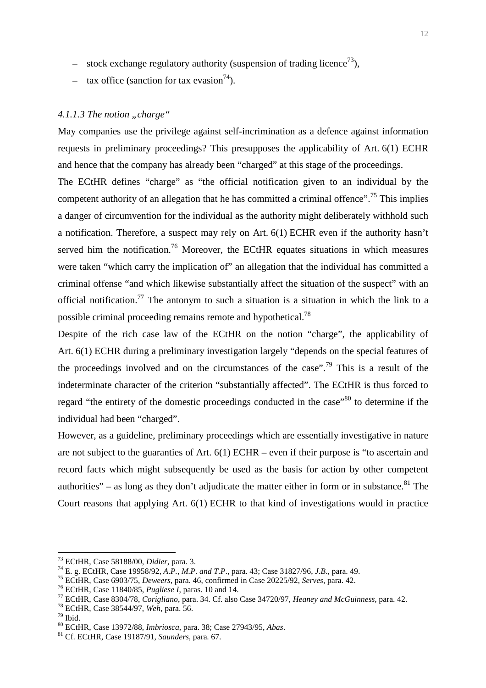- stock exchange regulatory authority (suspension of trading licence<sup>73</sup>),
- tax office (sanction for tax evasion<sup>74</sup>).

# *4.1.1.3 The notion "charge"*

May companies use the privilege against self-incrimination as a defence against information requests in preliminary proceedings? This presupposes the applicability of Art. 6(1) ECHR and hence that the company has already been "charged" at this stage of the proceedings. The ECtHR defines "charge" as "the official notification given to an individual by the competent authority of an allegation that he has committed a criminal offence".<sup>75</sup> This implies a danger of circumvention for the individual as the authority might deliberately withhold such a notification. Therefore, a suspect may rely on Art. 6(1) ECHR even if the authority hasn't served him the notification.<sup>76</sup> Moreover, the ECtHR equates situations in which measures were taken "which carry the implication of" an allegation that the individual has committed a criminal offense "and which likewise substantially affect the situation of the suspect" with an official notification.<sup>77</sup> The antonym to such a situation is a situation in which the link to a possible criminal proceeding remains remote and hypothetical.<sup>78</sup>

Despite of the rich case law of the ECtHR on the notion "charge", the applicability of Art. 6(1) ECHR during a preliminary investigation largely "depends on the special features of the proceedings involved and on the circumstances of the case".<sup>79</sup> This is a result of the indeterminate character of the criterion "substantially affected". The ECtHR is thus forced to regard "the entirety of the domestic proceedings conducted in the case"<sup>80</sup> to determine if the individual had been "charged".

However, as a guideline, preliminary proceedings which are essentially investigative in nature are not subject to the guaranties of Art. 6(1) ECHR – even if their purpose is "to ascertain and record facts which might subsequently be used as the basis for action by other competent authorities" – as long as they don't adjudicate the matter either in form or in substance. <sup>81</sup> The Court reasons that applying Art. 6(1) ECHR to that kind of investigations would in practice

<sup>73</sup> ECtHR, Case 58188/00, *Didier*, para. 3.

<sup>74</sup> E. g. ECtHR, Case 19958/92, *A.P., M.P. and T.P*., para. 43; Case 31827/96, *J.B*., para. 49.

<sup>75</sup> ECtHR, Case 6903/75, *Deweers*, para. 46, confirmed in Case 20225/92, *Serves*, para. 42.

<sup>76</sup> ECtHR, Case 11840/85, *Pugliese I*, paras. 10 and 14.

<sup>77</sup> ECtHR, Case 8304/78, *Corigliano*, para. 34. Cf. also Case 34720/97, *Heaney and McGuinness,* para. 42.

<sup>78</sup> ECtHR, Case 38544/97, *Weh*, para. 56.

 $79$  Ibid.

<sup>80</sup> ECtHR, Case 13972/88, *Imbriosca*, para. 38; Case 27943/95, *Abas*.

<sup>81</sup> Cf. ECtHR, Case 19187/91, *Saunders*, para. 67.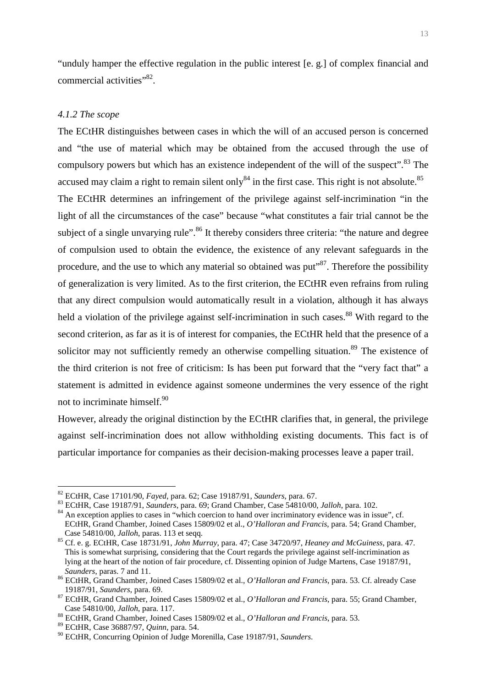"unduly hamper the effective regulation in the public interest [e. g.] of complex financial and commercial activities"<sup>82</sup>.

# *4.1.2 The scope*

The ECtHR distinguishes between cases in which the will of an accused person is concerned and "the use of material which may be obtained from the accused through the use of compulsory powers but which has an existence independent of the will of the suspect".<sup>83</sup> The accused may claim a right to remain silent only  $84$  in the first case. This right is not absolute.  $85$ The ECtHR determines an infringement of the privilege against self-incrimination "in the light of all the circumstances of the case" because "what constitutes a fair trial cannot be the subject of a single unvarying rule".<sup>86</sup> It thereby considers three criteria: "the nature and degree of compulsion used to obtain the evidence, the existence of any relevant safeguards in the procedure, and the use to which any material so obtained was put<sup>587</sup>. Therefore the possibility of generalization is very limited. As to the first criterion, the ECtHR even refrains from ruling that any direct compulsion would automatically result in a violation, although it has always held a violation of the privilege against self-incrimination in such cases.<sup>88</sup> With regard to the second criterion, as far as it is of interest for companies, the ECtHR held that the presence of a solicitor may not sufficiently remedy an otherwise compelling situation.<sup>89</sup> The existence of the third criterion is not free of criticism: Is has been put forward that the "very fact that" a statement is admitted in evidence against someone undermines the very essence of the right not to incriminate himself.<sup>90</sup>

However, already the original distinction by the ECtHR clarifies that, in general, the privilege against self-incrimination does not allow withholding existing documents. This fact is of particular importance for companies as their decision-making processes leave a paper trail.

<sup>82</sup> ECtHR, Case 17101/90, *Fayed*, para. 62; Case 19187/91, *Saunders*, para. 67.

<sup>83</sup> ECtHR, Case 19187/91, *Saunders*, para. 69; Grand Chamber, Case 54810/00, *Jalloh*, para. 102.

<sup>&</sup>lt;sup>84</sup> An exception applies to cases in "which coercion to hand over incriminatory evidence was in issue", cf. ECtHR, Grand Chamber, Joined Cases 15809/02 et al., *O'Halloran and Francis*, para. 54; Grand Chamber, Case 54810/00, *Jalloh*, paras. 113 et seqq.

<sup>85</sup> Cf. e. g. ECtHR, Case 18731/91, *John Murray*, para. 47; Case 34720/97, *Heaney and McGuiness*, para. 47. This is somewhat surprising, considering that the Court regards the privilege against self-incrimination as lying at the heart of the notion of fair procedure, cf. Dissenting opinion of Judge Martens, Case 19187/91, *Saunders*, paras. 7 and 11.

<sup>86</sup> ECtHR, Grand Chamber, Joined Cases 15809/02 et al., *O'Halloran and Francis*, para. 53. Cf. already Case 19187/91, *Saunders*, para. 69.

<sup>87</sup> ECtHR, Grand Chamber, Joined Cases 15809/02 et al., *O'Halloran and Francis*, para. 55; Grand Chamber, Case 54810/00, *Jalloh*, para. 117.

<sup>88</sup> ECtHR, Grand Chamber, Joined Cases 15809/02 et al., *O'Halloran and Francis*, para. 53.

<sup>89</sup> ECtHR, Case 36887/97, *Quinn*, para. 54.

<sup>90</sup> ECtHR, Concurring Opinion of Judge Morenilla, Case 19187/91, *Saunders*.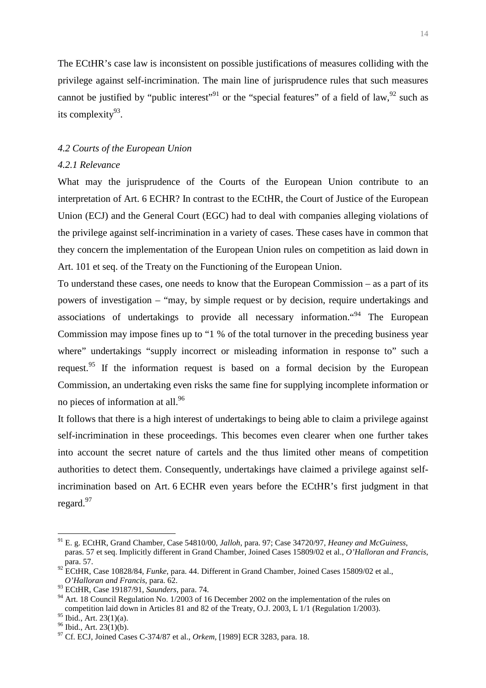The ECtHR's case law is inconsistent on possible justifications of measures colliding with the privilege against self-incrimination. The main line of jurisprudence rules that such measures cannot be justified by "public interest"<sup>91</sup> or the "special features" of a field of law,  $92$  such as its complexity $93$ .

# *4.2 Courts of the European Union*

# *4.2.1 Relevance*

What may the jurisprudence of the Courts of the European Union contribute to an interpretation of Art. 6 ECHR? In contrast to the ECtHR, the Court of Justice of the European Union (ECJ) and the General Court (EGC) had to deal with companies alleging violations of the privilege against self-incrimination in a variety of cases. These cases have in common that they concern the implementation of the European Union rules on competition as laid down in Art. 101 et seq. of the Treaty on the Functioning of the European Union.

To understand these cases, one needs to know that the European Commission – as a part of its powers of investigation – "may, by simple request or by decision, require undertakings and associations of undertakings to provide all necessary information."<sup>94</sup> The European Commission may impose fines up to "1 % of the total turnover in the preceding business year where" undertakings "supply incorrect or misleading information in response to" such a request.<sup>95</sup> If the information request is based on a formal decision by the European Commission, an undertaking even risks the same fine for supplying incomplete information or no pieces of information at all.<sup>96</sup>

It follows that there is a high interest of undertakings to being able to claim a privilege against self-incrimination in these proceedings. This becomes even clearer when one further takes into account the secret nature of cartels and the thus limited other means of competition authorities to detect them. Consequently, undertakings have claimed a privilege against selfincrimination based on Art. 6 ECHR even years before the ECtHR's first judgment in that regard.<sup>97</sup>

<sup>91</sup> E. g. ECtHR, Grand Chamber, Case 54810/00, *Jalloh*, para. 97; Case 34720/97, *Heaney and McGuiness*, paras. 57 et seq. Implicitly different in Grand Chamber, Joined Cases 15809/02 et al., *O'Halloran and Francis*, para. 57.

<sup>92</sup> ECtHR, Case 10828/84, *Funke*, para. 44. Different in Grand Chamber, Joined Cases 15809/02 et al., *O'Halloran and Francis*, para. 62.

<sup>93</sup> ECtHR, Case 19187/91, *Saunders*, para. 74.

<sup>&</sup>lt;sup>94</sup> Art. 18 Council Regulation No. 1/2003 of 16 December 2002 on the implementation of the rules on competition laid down in Articles 81 and 82 of the Treaty, O.J. 2003, L 1/1 (Regulation 1/2003).

 $^{95}$  Ibid., Art. 23(1)(a).

 $96$  Ibid., Art. 23(1)(b).

<sup>97</sup> Cf. ECJ, Joined Cases C-374/87 et al., *Orkem,* [1989] ECR 3283, para. 18.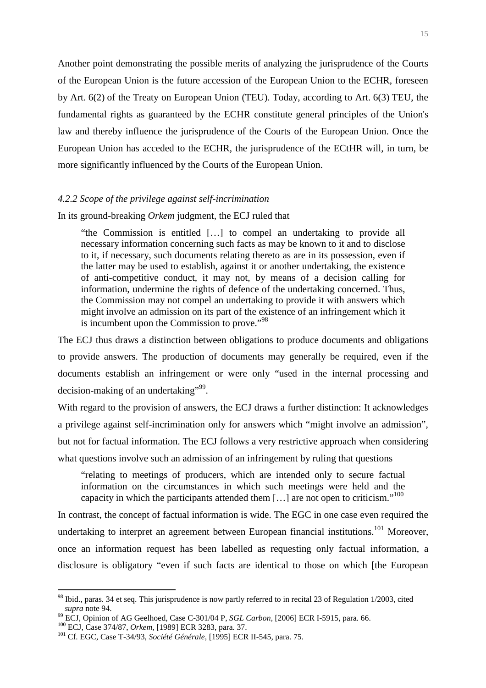Another point demonstrating the possible merits of analyzing the jurisprudence of the Courts of the European Union is the future accession of the European Union to the ECHR, foreseen by Art. 6(2) of the Treaty on European Union (TEU). Today, according to Art. 6(3) TEU, the fundamental rights as guaranteed by the ECHR constitute general principles of the Union's law and thereby influence the jurisprudence of the Courts of the European Union. Once the European Union has acceded to the ECHR, the jurisprudence of the ECtHR will, in turn, be more significantly influenced by the Courts of the European Union.

#### *4.2.2 Scope of the privilege against self-incrimination*

In its ground-breaking *Orkem* judgment, the ECJ ruled that

"the Commission is entitled […] to compel an undertaking to provide all necessary information concerning such facts as may be known to it and to disclose to it, if necessary, such documents relating thereto as are in its possession, even if the latter may be used to establish, against it or another undertaking, the existence of anti-competitive conduct, it may not, by means of a decision calling for information, undermine the rights of defence of the undertaking concerned. Thus, the Commission may not compel an undertaking to provide it with answers which might involve an admission on its part of the existence of an infringement which it is incumbent upon the Commission to prove."<sup>98</sup>

The ECJ thus draws a distinction between obligations to produce documents and obligations to provide answers. The production of documents may generally be required, even if the documents establish an infringement or were only "used in the internal processing and decision-making of an undertaking"<sup>99</sup>.

With regard to the provision of answers, the ECJ draws a further distinction: It acknowledges a privilege against self-incrimination only for answers which "might involve an admission", but not for factual information. The ECJ follows a very restrictive approach when considering what questions involve such an admission of an infringement by ruling that questions

"relating to meetings of producers, which are intended only to secure factual information on the circumstances in which such meetings were held and the capacity in which the participants attended them  $[...]$  are not open to criticism."<sup>100</sup>

In contrast, the concept of factual information is wide. The EGC in one case even required the undertaking to interpret an agreement between European financial institutions.<sup>101</sup> Moreover. once an information request has been labelled as requesting only factual information, a disclosure is obligatory "even if such facts are identical to those on which [the European

<sup>&</sup>lt;sup>98</sup> Ibid., paras. 34 et seq. This jurisprudence is now partly referred to in recital 23 of Regulation 1/2003, cited *supra* note 94.

<sup>99</sup> ECJ, Opinion of AG Geelhoed, Case C-301/04 P, *SGL Carbon*, [2006] ECR I-5915, para. 66.

<sup>100</sup> ECJ, Case 374/87, *Orkem,* [1989] ECR 3283, para. 37.

<sup>101</sup> Cf. EGC, Case T-34/93, *Société Générale,* [1995] ECR II-545, para. 75.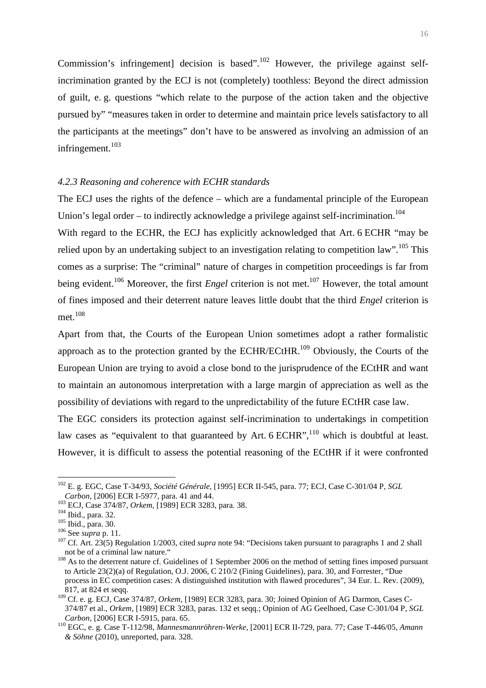Commission's infringement] decision is based".<sup>102</sup> However, the privilege against selfincrimination granted by the ECJ is not (completely) toothless: Beyond the direct admission of guilt, e. g. questions "which relate to the purpose of the action taken and the objective pursued by" "measures taken in order to determine and maintain price levels satisfactory to all the participants at the meetings" don't have to be answered as involving an admission of an infringement.<sup>103</sup>

# *4.2.3 Reasoning and coherence with ECHR standards*

The ECJ uses the rights of the defence – which are a fundamental principle of the European Union's legal order – to indirectly acknowledge a privilege against self-incrimination.<sup>104</sup>

With regard to the ECHR, the ECJ has explicitly acknowledged that Art. 6 ECHR "may be relied upon by an undertaking subject to an investigation relating to competition law".<sup>105</sup> This comes as a surprise: The "criminal" nature of charges in competition proceedings is far from being evident.<sup>106</sup> Moreover, the first *Engel* criterion is not met.<sup>107</sup> However, the total amount of fines imposed and their deterrent nature leaves little doubt that the third *Engel* criterion is met.<sup>108</sup>

Apart from that, the Courts of the European Union sometimes adopt a rather formalistic approach as to the protection granted by the ECHR/ECtHR.<sup>109</sup> Obviously, the Courts of the European Union are trying to avoid a close bond to the jurisprudence of the ECtHR and want to maintain an autonomous interpretation with a large margin of appreciation as well as the possibility of deviations with regard to the unpredictability of the future ECtHR case law.

The EGC considers its protection against self-incrimination to undertakings in competition law cases as "equivalent to that guaranteed by Art.  $6$  ECHR", which is doubtful at least. However, it is difficult to assess the potential reasoning of the ECtHR if it were confronted

<sup>102</sup> E. g. EGC, Case T-34/93, *Société Générale,* [1995] ECR II-545, para. 77; ECJ, Case C-301/04 P, *SGL Carbon,* [2006] ECR I-5977, para. 41 and 44.

<sup>103</sup> ECJ, Case 374/87, *Orkem,* [1989] ECR 3283, para. 38.

<sup>&</sup>lt;sup>104</sup> Ibid., para. 32.

<sup>105</sup> Ibid., para. 30.

<sup>106</sup> See *supra* p. 11.

<sup>&</sup>lt;sup>107</sup> Cf. Art. 23(5) Regulation 1/2003, cited *supra* note 94: "Decisions taken pursuant to paragraphs 1 and 2 shall not be of a criminal law nature."

<sup>&</sup>lt;sup>108</sup> As to the deterrent nature cf. Guidelines of 1 September 2006 on the method of setting fines imposed pursuant to Article 23(2)(a) of Regulation, O.J. 2006, C 210/2 (Fining Guidelines), para. 30, and Forrester, "Due process in EC competition cases: A distinguished institution with flawed procedures", 34 Eur. L. Rev. (2009), 817, at 824 et seqq.

<sup>109</sup> Cf. e. g. ECJ, Case 374/87, *Orkem,* [1989] ECR 3283, para. 30; Joined Opinion of AG Darmon, Cases C-374/87 et al., *Orkem,* [1989] ECR 3283, paras. 132 et seqq.; Opinion of AG Geelhoed, Case C-301/04 P, *SGL Carbon,* [2006] ECR I-5915, para. 65.

<sup>110</sup> EGC, e. g. Case T-112/98, *Mannesmannröhren-Werke,* [2001] ECR II-729, para. 77; Case T-446/05, *Amann & Söhne* (2010), unreported, para. 328.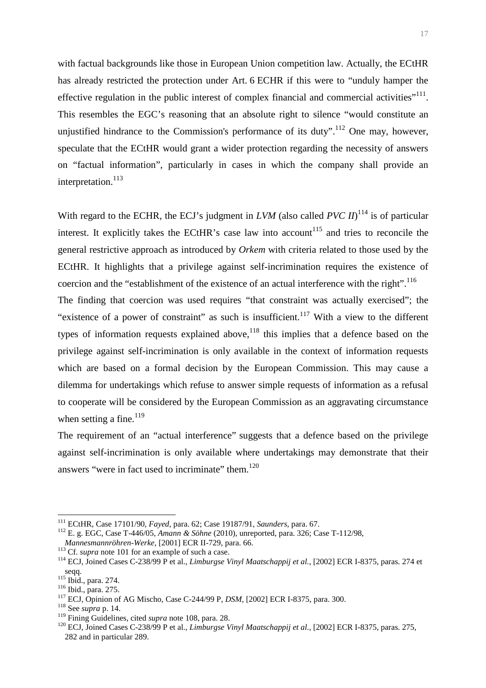with factual backgrounds like those in European Union competition law. Actually, the ECtHR has already restricted the protection under Art. 6 ECHR if this were to "unduly hamper the effective regulation in the public interest of complex financial and commercial activities"<sup>111</sup>. This resembles the EGC's reasoning that an absolute right to silence "would constitute an unjustified hindrance to the Commission's performance of its duty".<sup>112</sup> One may, however, speculate that the ECtHR would grant a wider protection regarding the necessity of answers on "factual information", particularly in cases in which the company shall provide an interpretation.<sup>113</sup>

With regard to the ECHR, the ECJ's judgment in *LVM* (also called *PVC II*)<sup>114</sup> is of particular interest. It explicitly takes the ECtHR's case law into account<sup>115</sup> and tries to reconcile the general restrictive approach as introduced by *Orkem* with criteria related to those used by the ECtHR. It highlights that a privilege against self-incrimination requires the existence of coercion and the "establishment of the existence of an actual interference with the right".<sup>116</sup>

The finding that coercion was used requires "that constraint was actually exercised"; the "existence of a power of constraint" as such is insufficient.<sup>117</sup> With a view to the different types of information requests explained above,  $118$  this implies that a defence based on the privilege against self-incrimination is only available in the context of information requests which are based on a formal decision by the European Commission. This may cause a dilemma for undertakings which refuse to answer simple requests of information as a refusal to cooperate will be considered by the European Commission as an aggravating circumstance when setting a fine. $^{119}$ 

The requirement of an "actual interference" suggests that a defence based on the privilege against self-incrimination is only available where undertakings may demonstrate that their answers "were in fact used to incriminate" them.<sup>120</sup>

<sup>111</sup> ECtHR, Case 17101/90, *Fayed*, para. 62; Case 19187/91, *Saunders*, para. 67.

<sup>112</sup> E. g. EGC, Case T-446/05, *Amann & Söhne* (2010), unreported, para. 326; Case T-112/98, *Mannesmannröhren-Werke,* [2001] ECR II-729, para. 66.

<sup>&</sup>lt;sup>113</sup> Cf. *supra* note 101 for an example of such a case.

<sup>114</sup> ECJ, Joined Cases C-238/99 P et al., *Limburgse Vinyl Maatschappij et al.*, [2002] ECR I-8375, paras. 274 et seqq.

 $^{115}$  Ibid., para. 274.

<sup>116</sup> Ibid., para. 275.

<sup>117</sup> ECJ, Opinion of AG Mischo, Case C-244/99 P, *DSM,* [2002] ECR I-8375, para. 300.

<sup>118</sup> See *supra* p. 14.

<sup>119</sup> Fining Guidelines, cited *supra* note 108, para. 28.

<sup>120</sup> ECJ, Joined Cases C-238/99 P et al., *Limburgse Vinyl Maatschappij et al.*, [2002] ECR I-8375, paras. 275, 282 and in particular 289.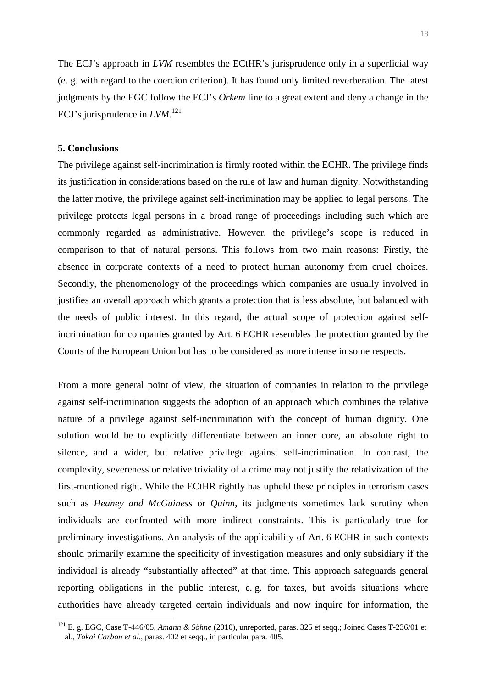The ECJ's approach in *LVM* resembles the ECtHR's jurisprudence only in a superficial way (e. g. with regard to the coercion criterion). It has found only limited reverberation. The latest judgments by the EGC follow the ECJ's *Orkem* line to a great extent and deny a change in the ECJ's jurisprudence in *LVM*. 121

# **5. Conclusions**

 $\overline{a}$ 

The privilege against self-incrimination is firmly rooted within the ECHR. The privilege finds its justification in considerations based on the rule of law and human dignity. Notwithstanding the latter motive, the privilege against self-incrimination may be applied to legal persons. The privilege protects legal persons in a broad range of proceedings including such which are commonly regarded as administrative. However, the privilege's scope is reduced in comparison to that of natural persons. This follows from two main reasons: Firstly, the absence in corporate contexts of a need to protect human autonomy from cruel choices. Secondly, the phenomenology of the proceedings which companies are usually involved in justifies an overall approach which grants a protection that is less absolute, but balanced with the needs of public interest. In this regard, the actual scope of protection against selfincrimination for companies granted by Art. 6 ECHR resembles the protection granted by the Courts of the European Union but has to be considered as more intense in some respects.

From a more general point of view, the situation of companies in relation to the privilege against self-incrimination suggests the adoption of an approach which combines the relative nature of a privilege against self-incrimination with the concept of human dignity. One solution would be to explicitly differentiate between an inner core, an absolute right to silence, and a wider, but relative privilege against self-incrimination. In contrast, the complexity, severeness or relative triviality of a crime may not justify the relativization of the first-mentioned right. While the ECtHR rightly has upheld these principles in terrorism cases such as *Heaney and McGuiness* or *Quinn*, its judgments sometimes lack scrutiny when individuals are confronted with more indirect constraints. This is particularly true for preliminary investigations. An analysis of the applicability of Art. 6 ECHR in such contexts should primarily examine the specificity of investigation measures and only subsidiary if the individual is already "substantially affected" at that time. This approach safeguards general reporting obligations in the public interest, e. g. for taxes, but avoids situations where authorities have already targeted certain individuals and now inquire for information, the

<sup>121</sup> E. g. EGC, Case T-446/05, *Amann & Söhne* (2010), unreported, paras. 325 et seqq.; Joined Cases T-236/01 et al., *Tokai Carbon et al.*, paras. 402 et seqq., in particular para. 405.